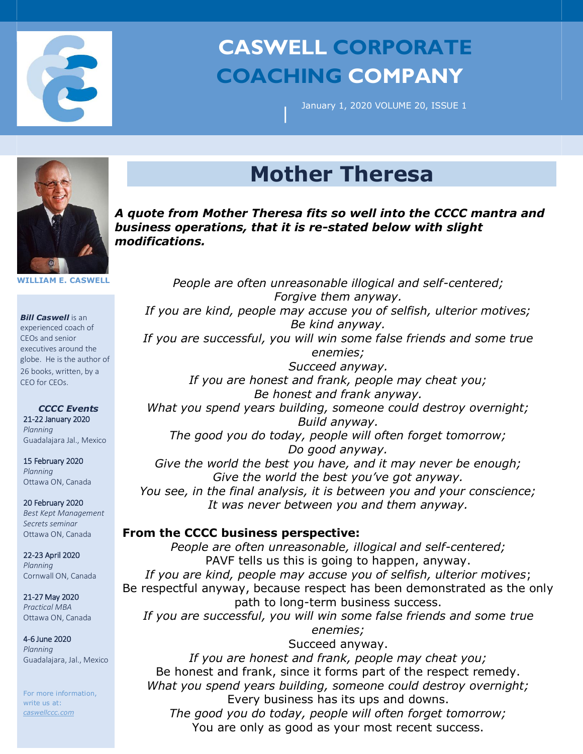

## **CASWELL CORPORATE COACHING COMPANY**

January 1, 2020 VOLUME 20, ISSUE 1



**WILLIAM E. CASWELL**

*Bill Caswell* is an experienced coach of CEOs and senior executives around the globe. He is the author of 26 books, written, by a CEO for CEOs.

*CCCC Events* 21-22 January 2020 *Planning*  Guadalajara Jal., Mexico

15 February 2020 *Planning*  Ottawa ON, Canada

20 February 2020 *Best Kept Management Secrets seminar*  Ottawa ON, Canada

22-23 April 2020 *Planning* Cornwall ON, Canada

21-27 May 2020 *Practical MBA*  Ottawa ON, Canada

4-6 June 2020 *Planning*  Guadalajara, Jal., Mexico

For more information, write us at: *caswellccc.com*

## **Mother Theresa**

|

*A quote from Mother Theresa fits so well into the CCCC mantra and business operations, that it is re-stated below with slight modifications.*

*People are often unreasonable illogical and self-centered; Forgive them anyway. If you are kind, people may accuse you of selfish, ulterior motives; Be kind anyway. If you are successful, you will win some false friends and some true enemies; Succeed anyway. If you are honest and frank, people may cheat you; Be honest and frank anyway. What you spend years building, someone could destroy overnight; Build anyway. The good you do today, people will often forget tomorrow; Do good anyway. Give the world the best you have, and it may never be enough; Give the world the best you've got anyway. You see, in the final analysis, it is between you and your conscience; It was never between you and them anyway.*

## **From the CCCC business perspective:**

*People are often unreasonable, illogical and self-centered;* PAVF tells us this is going to happen, anyway. *If you are kind, people may accuse you of selfish, ulterior motives*; Be respectful anyway, because respect has been demonstrated as the only path to long-term business success. *If you are successful, you will win some false friends and some true enemies;* Succeed anyway. *If you are honest and frank, people may cheat you;* Be honest and frank, since it forms part of the respect remedy. *What you spend years building, someone could destroy overnight;* Every business has its ups and downs. *The good you do today, people will often forget tomorrow;* You are only as good as your most recent success.